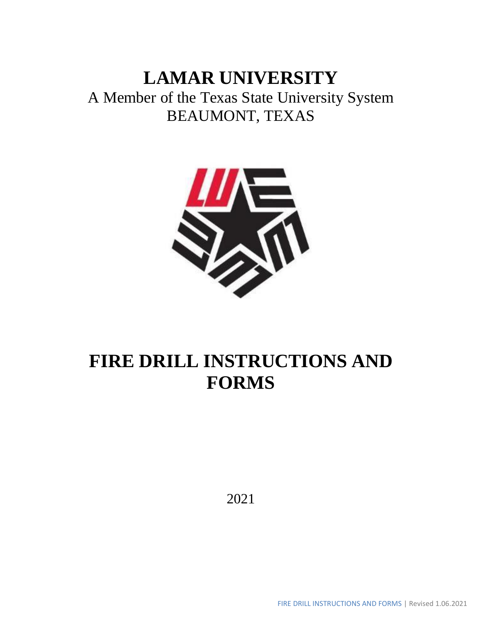# **LAMAR UNIVERSITY**

A Member of the Texas State University System BEAUMONT, TEXAS



# **FIRE DRILL INSTRUCTIONS AND FORMS**

2021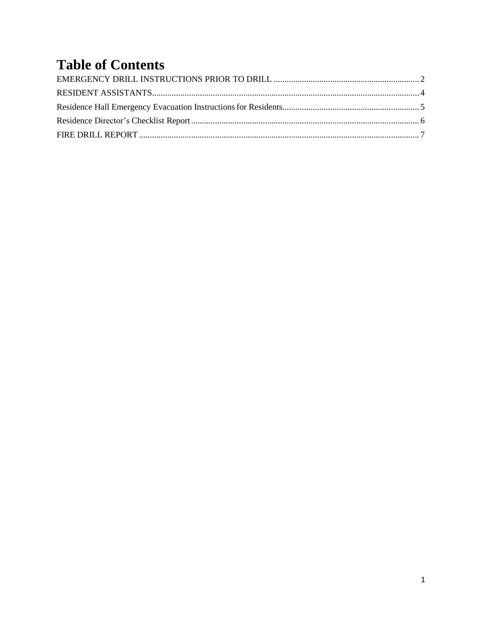# **Table of Contents**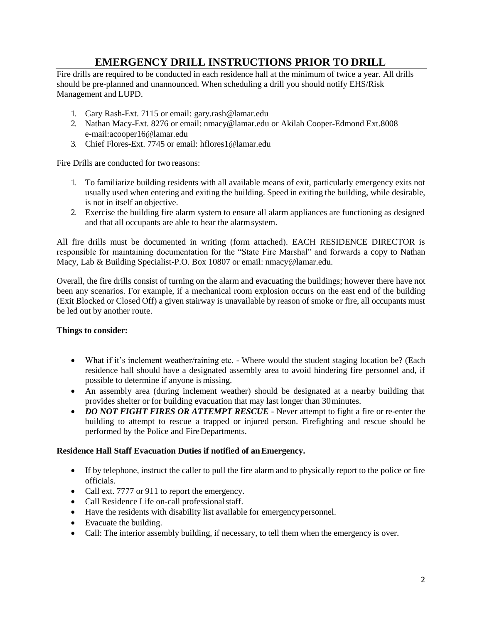## **EMERGENCY DRILL INSTRUCTIONS PRIOR TO DRILL**

<span id="page-2-0"></span>Fire drills are required to be conducted in each residence hall at the minimum of twice a year. All drills should be pre-planned and unannounced. When scheduling a drill you should notify EHS/Risk Management and LUPD.

- 1. Gary Rash-Ext. 7115 or email: [gary.rash@lamar.edu](mailto:gary.rash@lamar.edu)
- 2. Nathan Macy-Ext. 8276 or email: [nmacy@lamar.edu](mailto:nmacy@lamar.edu) or Akilah Cooper-Edmond Ext.8008 e-mail:acooper16@lamar.edu
- 3. Chief Flores-Ext. 7745 or email: [hflores1@lamar.edu](mailto:hflores1@lamar.edu)

Fire Drills are conducted for two reasons:

- 1. To familiarize building residents with all available means of exit, particularly emergency exits not usually used when entering and exiting the building. Speed in exiting the building, while desirable, is not in itself an objective.
- 2. Exercise the building fire alarm system to ensure all alarm appliances are functioning as designed and that all occupants are able to hear the alarmsystem.

All fire drills must be documented in writing (form attached). EACH RESIDENCE DIRECTOR is responsible for maintaining documentation for the "State Fire Marshal" and forwards a copy to Nathan Macy, Lab & Building Specialist-P.O[. Box 10807 or email:](mailto:jewel.courville@lamar.edu) nmacy@lamar.edu.

Overall, the fire drills consist of turning on the alarm and evacuating the buildings; however there have not been any scenarios. For example, if a mechanical room explosion occurs on the east end of the building (Exit Blocked or Closed Off) a given stairway is unavailable by reason of smoke or fire, all occupants must be led out by another route.

#### **Things to consider:**

- What if it's inclement weather/raining etc. Where would the student staging location be? (Each residence hall should have a designated assembly area to avoid hindering fire personnel and, if possible to determine if anyone is missing.
- An assembly area (during inclement weather) should be designated at a nearby building that provides shelter or for building evacuation that may last longer than 30minutes.
- *DO NOT FIGHT FIRES OR ATTEMPT RESCUE*  Never attempt to fight a fire or re-enter the building to attempt to rescue a trapped or injured person. Firefighting and rescue should be performed by the Police and FireDepartments.

#### **Residence Hall Staff Evacuation Duties if notified of anEmergency.**

- If by telephone, instruct the caller to pull the fire alarm and to physically report to the police or fire officials.
- Call ext. 7777 or 911 to report the emergency.
- Call Residence Life on-call professionalstaff.
- Have the residents with disability list available for emergencypersonnel.
- Evacuate the building.
- Call: The interior assembly building, if necessary, to tell them when the emergency is over.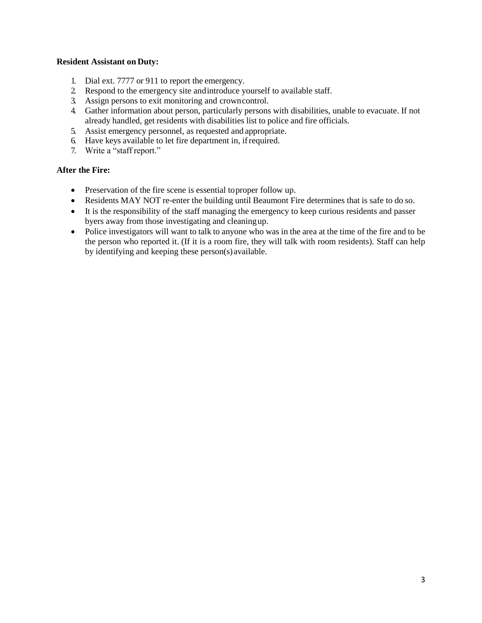#### **Resident Assistant on Duty:**

- 1. Dial ext. 7777 or 911 to report the emergency.
- 2. Respond to the emergency site andintroduce yourself to available staff.
- 3. Assign persons to exit monitoring and crowncontrol.
- 4. Gather information about person, particularly persons with disabilities, unable to evacuate. If not already handled, get residents with disabilities list to police and fire officials.
- 5. Assist emergency personnel, as requested and appropriate.
- 6. Have keys available to let fire department in, ifrequired.
- 7. Write a "staff report."

#### **After the Fire:**

- Preservation of the fire scene is essential to proper follow up.
- Residents MAY NOT re-enter the building until Beaumont Fire determines that is safe to do so.
- It is the responsibility of the staff managing the emergency to keep curious residents and passer byers away from those investigating and cleaningup.
- Police investigators will want to talk to anyone who was in the area at the time of the fire and to be the person who reported it. (If it is a room fire, they will talk with room residents). Staff can help by identifying and keeping these person(s)available.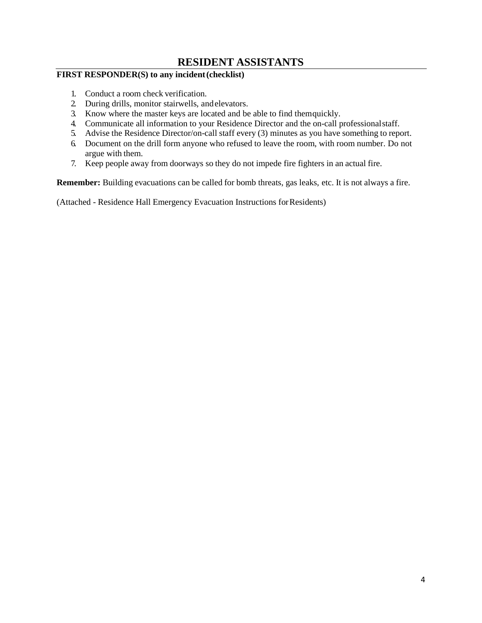### **RESIDENT ASSISTANTS**

#### <span id="page-4-0"></span>**FIRST RESPONDER(S) to any incident(checklist)**

- 1. Conduct a room check verification.
- 2. During drills, monitor stairwells, andelevators.
- 3. Know where the master keys are located and be able to find themquickly.
- 4. Communicate all information to your Residence Director and the on-call professionalstaff.
- 5. Advise the Residence Director/on-call staff every (3) minutes as you have something to report.
- 6. Document on the drill form anyone who refused to leave the room, with room number. Do not argue with them.
- 7. Keep people away from doorways so they do not impede fire fighters in an actual fire.

**Remember:** Building evacuations can be called for bomb threats, gas leaks, etc. It is not always a fire.

(Attached - Residence Hall Emergency Evacuation Instructions forResidents)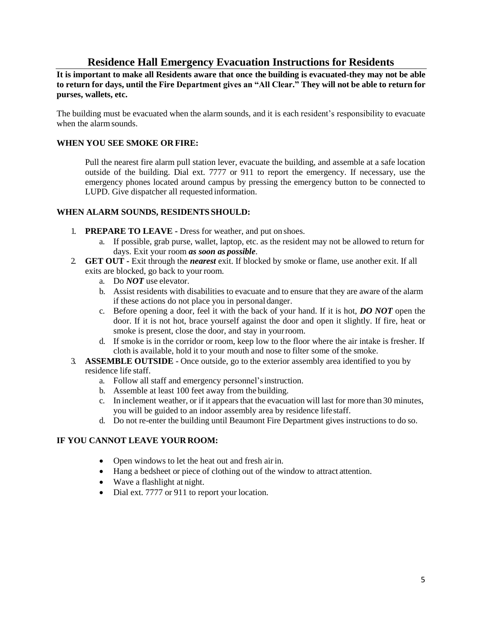### **Residence Hall Emergency Evacuation Instructions for Residents**

<span id="page-5-0"></span>**It is important to make all Residents aware that once the building is evacuated-they may not be able to return for days, until the Fire Department gives an "All Clear." They will not be able to return for purses, wallets, etc.**

The building must be evacuated when the alarm sounds, and it is each resident's responsibility to evacuate when the alarm sounds.

#### **WHEN YOU SEE SMOKE OR FIRE:**

Pull the nearest fire alarm pull station lever, evacuate the building, and assemble at a safe location outside of the building. Dial ext. 7777 or 911 to report the emergency. If necessary, use the emergency phones located around campus by pressing the emergency button to be connected to LUPD. Give dispatcher all requested information.

#### **WHEN ALARM SOUNDS, RESIDENTS SHOULD:**

- 1. **PREPARE TO LEAVE -** Dress for weather, and put on shoes.
	- a. If possible, grab purse, wallet, laptop, etc. as the resident may not be allowed to return for days. Exit your room *as soon as possible*.
- 2. **GET OUT -** Exit through the *nearest* exit. If blocked by smoke or flame, use another exit. If all exits are blocked, go back to your room.
	- a. Do *NOT* use elevator.
	- b. Assist residents with disabilities to evacuate and to ensure that they are aware of the alarm if these actions do not place you in personal danger.
	- c. Before opening a door, feel it with the back of your hand. If it is hot, *DO NOT* open the door. If it is not hot, brace yourself against the door and open it slightly. If fire, heat or smoke is present, close the door, and stay in yourroom.
	- d. If smoke is in the corridor or room, keep low to the floor where the air intake is fresher. If cloth is available, hold it to your mouth and nose to filter some of the smoke.
- 3. **ASSEMBLE OUTSIDE**  Once outside, go to the exterior assembly area identified to you by residence life staff.
	- a. Follow all staff and emergency personnel'sinstruction.
	- b. Assemble at least 100 feet away from the building.
	- c. In inclement weather, or if it appears that the evacuation will last for more than 30 minutes, you will be guided to an indoor assembly area by residence lifestaff.
	- d. Do not re-enter the building until Beaumont Fire Department gives instructions to do so.

#### **IF YOU CANNOT LEAVE YOUR ROOM:**

- Open windows to let the heat out and fresh air in.
- Hang a bedsheet or piece of clothing out of the window to attract attention.
- Wave a flashlight at night.
- Dial ext. 7777 or 911 to report your location.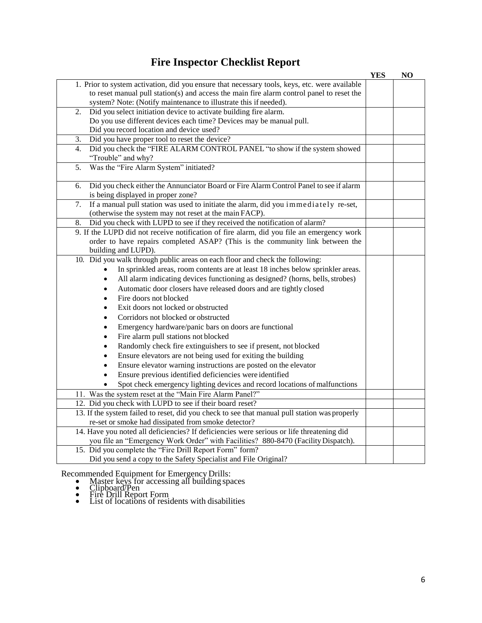## **Fire Inspector Checklist Report**

<span id="page-6-0"></span>

|                                                                                               | <b>YES</b> | N <sub>O</sub> |
|-----------------------------------------------------------------------------------------------|------------|----------------|
| 1. Prior to system activation, did you ensure that necessary tools, keys, etc. were available |            |                |
| to reset manual pull station(s) and access the main fire alarm control panel to reset the     |            |                |
| system? Note: (Notify maintenance to illustrate this if needed).                              |            |                |
| 2.<br>Did you select initiation device to activate building fire alarm.                       |            |                |
| Do you use different devices each time? Devices may be manual pull.                           |            |                |
| Did you record location and device used?                                                      |            |                |
| Did you have proper tool to reset the device?<br>3.                                           |            |                |
| Did you check the "FIRE ALARM CONTROL PANEL "to show if the system showed<br>4.               |            |                |
| "Trouble" and why?                                                                            |            |                |
| Was the "Fire Alarm System" initiated?<br>5.                                                  |            |                |
|                                                                                               |            |                |
| Did you check either the Annunciator Board or Fire Alarm Control Panel to see if alarm<br>6.  |            |                |
| is being displayed in proper zone?                                                            |            |                |
| If a manual pull station was used to initiate the alarm, did you immediately re-set,<br>7.    |            |                |
| (otherwise the system may not reset at the main FACP).                                        |            |                |
| Did you check with LUPD to see if they received the notification of alarm?<br>8.              |            |                |
| 9. If the LUPD did not receive notification of fire alarm, did you file an emergency work     |            |                |
| order to have repairs completed ASAP? (This is the community link between the                 |            |                |
| building and LUPD).                                                                           |            |                |
| 10. Did you walk through public areas on each floor and check the following:                  |            |                |
| In sprinkled areas, room contents are at least 18 inches below sprinkler areas.<br>$\bullet$  |            |                |
| All alarm indicating devices functioning as designed? (horns, bells, strobes)<br>$\bullet$    |            |                |
| Automatic door closers have released doors and are tightly closed<br>$\bullet$                |            |                |
| Fire doors not blocked<br>$\bullet$                                                           |            |                |
| Exit doors not locked or obstructed<br>$\bullet$                                              |            |                |
| Corridors not blocked or obstructed<br>$\bullet$                                              |            |                |
| Emergency hardware/panic bars on doors are functional<br>$\bullet$                            |            |                |
| Fire alarm pull stations not blocked<br>$\bullet$                                             |            |                |
| Randomly check fire extinguishers to see if present, not blocked<br>٠                         |            |                |
|                                                                                               |            |                |
| Ensure elevators are not being used for exiting the building<br>$\bullet$                     |            |                |
| Ensure elevator warning instructions are posted on the elevator<br>$\bullet$                  |            |                |
| Ensure previous identified deficiencies were identified<br>$\bullet$                          |            |                |
| Spot check emergency lighting devices and record locations of malfunctions                    |            |                |
| 11. Was the system reset at the "Main Fire Alarm Panel?"                                      |            |                |
| 12. Did you check with LUPD to see if their board reset?                                      |            |                |
| 13. If the system failed to reset, did you check to see that manual pull station was properly |            |                |
| re-set or smoke had dissipated from smoke detector?                                           |            |                |
| 14. Have you noted all deficiencies? If deficiencies were serious or life threatening did     |            |                |
| you file an "Emergency Work Order" with Facilities? 880-8470 (Facility Dispatch).             |            |                |
| 15. Did you complete the "Fire Drill Report Form" form?                                       |            |                |
| Did you send a copy to the Safety Specialist and File Original?                               |            |                |

Recommended Equipment for Emergency Drills:

- Master keys for accessing all building spaces
- Clipboard/Pen
- Fire Drill Report Form
- List of locations of residents with disabilities